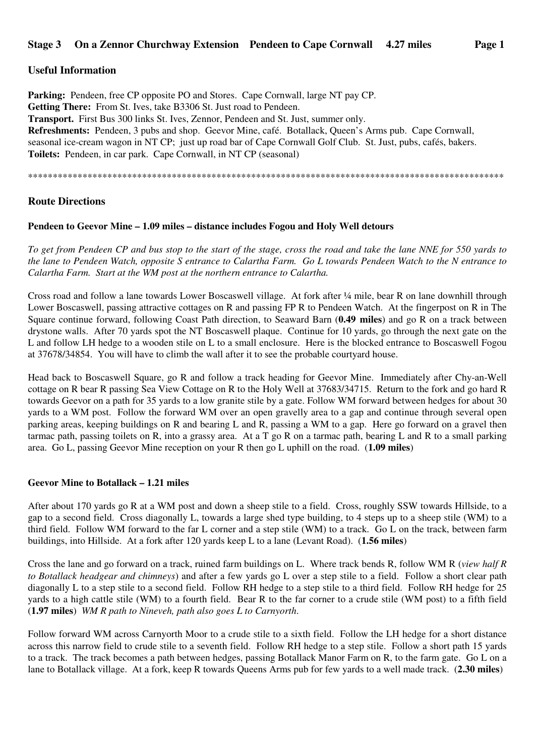# **Useful Information**

**Parking:** Pendeen, free CP opposite PO and Stores. Cape Cornwall, large NT pay CP. **Getting There:** From St. Ives, take B3306 St. Just road to Pendeen. **Transport.** First Bus 300 links St. Ives, Zennor, Pendeen and St. Just, summer only. **Refreshments:** Pendeen, 3 pubs and shop. Geevor Mine, café. Botallack, Queen's Arms pub. Cape Cornwall, seasonal ice-cream wagon in NT CP; just up road bar of Cape Cornwall Golf Club. St. Just, pubs, cafés, bakers. **Toilets:** Pendeen, in car park. Cape Cornwall, in NT CP (seasonal)

\*\*\*\*\*\*\*\*\*\*\*\*\*\*\*\*\*\*\*\*\*\*\*\*\*\*\*\*\*\*\*\*\*\*\*\*\*\*\*\*\*\*\*\*\*\*\*\*\*\*\*\*\*\*\*\*\*\*\*\*\*\*\*\*\*\*\*\*\*\*\*\*\*\*\*\*\*\*\*\*\*\*\*\*\*\*\*\*\*\*\*\*\*\*\*\*

# **Route Directions**

## **Pendeen to Geevor Mine – 1.09 miles – distance includes Fogou and Holy Well detours**

*To get from Pendeen CP and bus stop to the start of the stage, cross the road and take the lane NNE for 550 yards to the lane to Pendeen Watch, opposite S entrance to Calartha Farm. Go L towards Pendeen Watch to the N entrance to Calartha Farm. Start at the WM post at the northern entrance to Calartha.* 

Cross road and follow a lane towards Lower Boscaswell village. At fork after ¼ mile, bear R on lane downhill through Lower Boscaswell, passing attractive cottages on R and passing FP R to Pendeen Watch. At the fingerpost on R in The Square continue forward, following Coast Path direction, to Seaward Barn (**0.49 miles**) and go R on a track between drystone walls. After 70 yards spot the NT Boscaswell plaque. Continue for 10 yards, go through the next gate on the L and follow LH hedge to a wooden stile on L to a small enclosure. Here is the blocked entrance to Boscaswell Fogou at 37678/34854. You will have to climb the wall after it to see the probable courtyard house.

Head back to Boscaswell Square, go R and follow a track heading for Geevor Mine. Immediately after Chy-an-Well cottage on R bear R passing Sea View Cottage on R to the Holy Well at 37683/34715. Return to the fork and go hard R towards Geevor on a path for 35 yards to a low granite stile by a gate. Follow WM forward between hedges for about 30 yards to a WM post. Follow the forward WM over an open gravelly area to a gap and continue through several open parking areas, keeping buildings on R and bearing L and R, passing a WM to a gap. Here go forward on a gravel then tarmac path, passing toilets on R, into a grassy area. At a T go R on a tarmac path, bearing L and R to a small parking area. Go L, passing Geevor Mine reception on your R then go L uphill on the road. (**1.09 miles**)

#### **Geevor Mine to Botallack – 1.21 miles**

After about 170 yards go R at a WM post and down a sheep stile to a field. Cross, roughly SSW towards Hillside, to a gap to a second field. Cross diagonally L, towards a large shed type building, to 4 steps up to a sheep stile (WM) to a third field. Follow WM forward to the far L corner and a step stile (WM) to a track. Go L on the track, between farm buildings, into Hillside. At a fork after 120 yards keep L to a lane (Levant Road). (**1.56 miles**)

Cross the lane and go forward on a track, ruined farm buildings on L. Where track bends R, follow WM R (*view half R to Botallack headgear and chimneys*) and after a few yards go L over a step stile to a field. Follow a short clear path diagonally L to a step stile to a second field. Follow RH hedge to a step stile to a third field. Follow RH hedge for 25 yards to a high cattle stile (WM) to a fourth field. Bear R to the far corner to a crude stile (WM post) to a fifth field (**1.97 miles**) *WM R path to Nineveh, path also goes L to Carnyorth*.

Follow forward WM across Carnyorth Moor to a crude stile to a sixth field. Follow the LH hedge for a short distance across this narrow field to crude stile to a seventh field. Follow RH hedge to a step stile. Follow a short path 15 yards to a track. The track becomes a path between hedges, passing Botallack Manor Farm on R, to the farm gate. Go L on a lane to Botallack village. At a fork, keep R towards Queens Arms pub for few yards to a well made track. (**2.30 miles**)